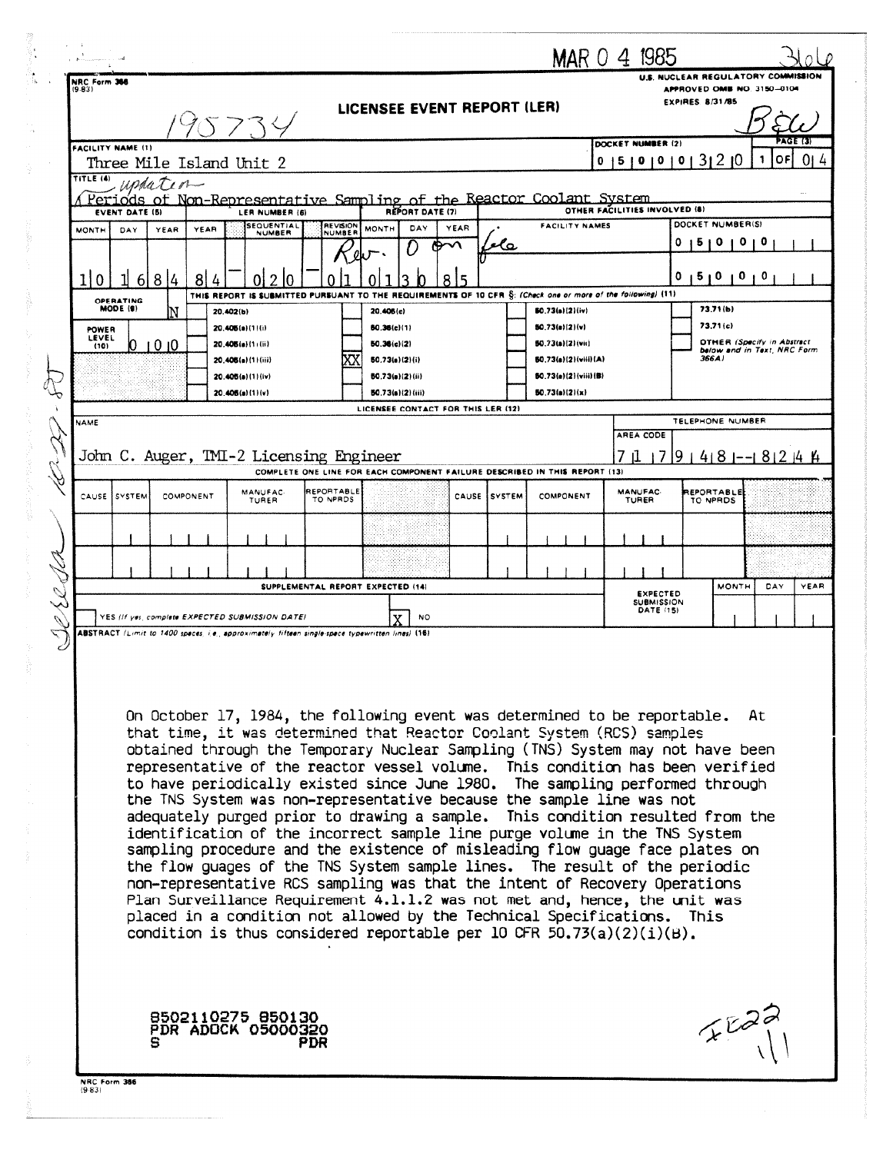|  |                                                                                                                                                                                                                                                                                                              |                                                                                                                                           |       |                                                                                |                                                                                                                                                                 |                                   |                          |                                                               |      |               |                                          |                               | MAR 0 4 1985                   |   |                                                                  |                                                                  |                      |
|--|--------------------------------------------------------------------------------------------------------------------------------------------------------------------------------------------------------------------------------------------------------------------------------------------------------------|-------------------------------------------------------------------------------------------------------------------------------------------|-------|--------------------------------------------------------------------------------|-----------------------------------------------------------------------------------------------------------------------------------------------------------------|-----------------------------------|--------------------------|---------------------------------------------------------------|------|---------------|------------------------------------------|-------------------------------|--------------------------------|---|------------------------------------------------------------------|------------------------------------------------------------------|----------------------|
|  | NRC Form 366<br>(9.83)                                                                                                                                                                                                                                                                                       |                                                                                                                                           |       |                                                                                |                                                                                                                                                                 |                                   |                          |                                                               |      |               |                                          |                               |                                |   | U.S. NUCLEAR REGULATORY COMMISSION<br>APPROVED OME NO. 3150-0104 |                                                                  |                      |
|  |                                                                                                                                                                                                                                                                                                              | LICENSEE EVENT REPORT (LER)<br>バフへく                                                                                                       |       |                                                                                |                                                                                                                                                                 |                                   |                          |                                                               |      |               |                                          | <b>EXPIRES 8/31/85</b>        |                                |   |                                                                  |                                                                  |                      |
|  | <b>FACILITY NAME (1)</b>                                                                                                                                                                                                                                                                                     |                                                                                                                                           |       |                                                                                |                                                                                                                                                                 |                                   |                          |                                                               |      |               |                                          |                               | DOCKET NUMBER (2)              |   |                                                                  | OF<br>1                                                          | PAGE (3)<br>0I.<br>4 |
|  | TITLE (4)                                                                                                                                                                                                                                                                                                    |                                                                                                                                           |       | 15101010131210<br>Three Mile Island Unit 2<br>0<br>$\omega$ da T $\iota$ o $-$ |                                                                                                                                                                 |                                   |                          |                                                               |      |               |                                          |                               |                                |   |                                                                  |                                                                  |                      |
|  |                                                                                                                                                                                                                                                                                                              | Periods of Non-Representative Sampling of the Reactor Coolant System<br><b>REPORT DATE (7)</b><br><b>EVENT DATE (5)</b><br>LER NUMBER (6) |       |                                                                                |                                                                                                                                                                 |                                   |                          |                                                               |      |               |                                          | OTHER FACILITIES INVOLVED (8) |                                |   |                                                                  |                                                                  |                      |
|  | <b>MONTH</b>                                                                                                                                                                                                                                                                                                 | DAY                                                                                                                                       | YEAR  | YEAR                                                                           | <b>SEQUENTIAL</b><br><b>NUMBER</b>                                                                                                                              | REVISION<br><b>NUMBER</b>         | MONTH                    | DAY                                                           | YEAR | e Co          | <b>FACILITY NAMES</b>                    |                               |                                | o | DOCKET NUMBER(S)<br>ь                                            |                                                                  |                      |
|  |                                                                                                                                                                                                                                                                                                              |                                                                                                                                           |       |                                                                                |                                                                                                                                                                 |                                   |                          |                                                               |      |               |                                          |                               |                                | 0 | 1510<br>$\mathbf 0$                                              | 0                                                                |                      |
|  | 0                                                                                                                                                                                                                                                                                                            | OPERATING                                                                                                                                 | 6 8 4 | 8                                                                              | THIS REPORT IS SUBMITTED PURSUANT TO THE REQUIREMENTS OF 10 CFR S: (Check one or more of the following) (11)                                                    |                                   |                          |                                                               |      |               |                                          |                               |                                |   |                                                                  |                                                                  |                      |
|  | POWER                                                                                                                                                                                                                                                                                                        | MODE (9)                                                                                                                                  | N     |                                                                                | 20.402(b)<br>20.406(a)(1)(i)                                                                                                                                    |                                   | 20.406(c)<br>60.36(c)(1) |                                                               |      |               | 50.73(a)(2)(iv)<br>50.73(a){2){v}        |                               |                                |   | 73.71(b)<br>73.71(c)                                             |                                                                  |                      |
|  | LEVEL<br>(10)                                                                                                                                                                                                                                                                                                |                                                                                                                                           | 1010  |                                                                                | 20.406(a)(1)(ii)<br>20.408(a)(1)(iii)                                                                                                                           |                                   | 50.36(c)(2)              | 50.73(e)(2)(i)                                                |      |               | 50.73(a)(2)(vii)<br>80.73(a)(2)(viii)(A) |                               |                                |   | 366A)                                                            | <b>OTHER (Specify in Abstract</b><br>below and in Text. NRC Form |                      |
|  |                                                                                                                                                                                                                                                                                                              |                                                                                                                                           |       |                                                                                | 20.405(a)(1)(iv)                                                                                                                                                |                                   |                          | 50.73(a)(2)(ii)                                               |      |               | 50.73(e)(2)(viii)(B)                     |                               |                                |   |                                                                  |                                                                  |                      |
|  |                                                                                                                                                                                                                                                                                                              |                                                                                                                                           |       |                                                                                | 20.406(a)(1)(v)                                                                                                                                                 |                                   |                          | <b>80.73(a)(2)(iii)</b><br>LICENSEE CONTACT FOR THIS LER (12) |      |               | 50.73(a)(2)(x)                           |                               |                                |   |                                                                  |                                                                  |                      |
|  | NAME                                                                                                                                                                                                                                                                                                         |                                                                                                                                           |       |                                                                                |                                                                                                                                                                 |                                   |                          |                                                               |      | AREA CODE     | TELEPHONE NUMBER                         |                               |                                |   |                                                                  |                                                                  |                      |
|  | John C. Auger, TMI-2 Licensing Engineer<br>$179148 - 8244$<br>COMPLETE ONE LINE FOR EACH COMPONENT FAILURE DESCRIBED IN THIS REPORT (13)                                                                                                                                                                     |                                                                                                                                           |       |                                                                                |                                                                                                                                                                 |                                   |                          |                                                               |      |               |                                          |                               |                                |   |                                                                  |                                                                  |                      |
|  | CAUSE                                                                                                                                                                                                                                                                                                        | i system                                                                                                                                  |       | COMPONENT                                                                      | MANUFAC-<br>TURER                                                                                                                                               | REPORTABLE<br>TO NPRDS            |                          |                                                               |      | CAUSE ISYSTEM | COMPONENT                                |                               | <b>MANUFAC</b><br>TURER        |   | REPORTABLE<br>TO NPRDS                                           |                                                                  |                      |
|  |                                                                                                                                                                                                                                                                                                              |                                                                                                                                           |       |                                                                                |                                                                                                                                                                 |                                   |                          |                                                               |      |               |                                          |                               |                                |   |                                                                  |                                                                  |                      |
|  |                                                                                                                                                                                                                                                                                                              |                                                                                                                                           |       |                                                                                |                                                                                                                                                                 |                                   |                          |                                                               |      |               |                                          |                               |                                |   |                                                                  |                                                                  |                      |
|  |                                                                                                                                                                                                                                                                                                              |                                                                                                                                           |       |                                                                                |                                                                                                                                                                 | SUPPLEMENTAL REPORT EXPECTED (14) |                          |                                                               |      |               |                                          |                               | <b>EXPECTED</b>                |   | <b>MONTH</b>                                                     | DAY                                                              | YEAR                 |
|  |                                                                                                                                                                                                                                                                                                              |                                                                                                                                           |       |                                                                                | YES (If yes complete EXPECTED SUBMISSION DATE)                                                                                                                  |                                   |                          | <b>NO</b>                                                     |      |               |                                          |                               | <b>SUBMISSION</b><br>DATE (15) |   |                                                                  |                                                                  |                      |
|  |                                                                                                                                                                                                                                                                                                              |                                                                                                                                           |       |                                                                                | ABSTRACT (Limit to 1400 speces, i.e., approximately fifteen single-spece typewritten lines) (16)                                                                |                                   |                          |                                                               |      |               |                                          |                               |                                |   |                                                                  |                                                                  |                      |
|  |                                                                                                                                                                                                                                                                                                              |                                                                                                                                           |       |                                                                                |                                                                                                                                                                 |                                   |                          |                                                               |      |               |                                          |                               |                                |   |                                                                  |                                                                  |                      |
|  |                                                                                                                                                                                                                                                                                                              |                                                                                                                                           |       |                                                                                |                                                                                                                                                                 |                                   |                          |                                                               |      |               |                                          |                               |                                |   |                                                                  |                                                                  |                      |
|  |                                                                                                                                                                                                                                                                                                              |                                                                                                                                           |       |                                                                                | On October 17, 1984, the following event was determined to be reportable. At<br>that time, it was determined that Reactor Coolant System (RCS) samples          |                                   |                          |                                                               |      |               |                                          |                               |                                |   |                                                                  |                                                                  |                      |
|  |                                                                                                                                                                                                                                                                                                              |                                                                                                                                           |       |                                                                                | obtained through the Temporary Nuclear Sampling (TNS) System may not have been<br>representative of the reactor vessel volume. This condition has been verified |                                   |                          |                                                               |      |               |                                          |                               |                                |   |                                                                  |                                                                  |                      |
|  |                                                                                                                                                                                                                                                                                                              |                                                                                                                                           |       |                                                                                | to have periodically existed since June 1980. The sampling performed through<br>the TNS System was non-representative because the sample line was not           |                                   |                          |                                                               |      |               |                                          |                               |                                |   |                                                                  |                                                                  |                      |
|  |                                                                                                                                                                                                                                                                                                              |                                                                                                                                           |       |                                                                                | adequately purged prior to drawing a sample. This condition resulted from the                                                                                   |                                   |                          |                                                               |      |               |                                          |                               |                                |   |                                                                  |                                                                  |                      |
|  | identification of the incorrect sample line purge volume in the TNS System<br>sampling procedure and the existence of misleading flow guage face plates on                                                                                                                                                   |                                                                                                                                           |       |                                                                                |                                                                                                                                                                 |                                   |                          |                                                               |      |               |                                          |                               |                                |   |                                                                  |                                                                  |                      |
|  |                                                                                                                                                                                                                                                                                                              |                                                                                                                                           |       |                                                                                | the flow guages of the TNS System sample lines. The result of the periodic                                                                                      |                                   |                          |                                                               |      |               |                                          |                               |                                |   |                                                                  |                                                                  |                      |
|  | non-representative RCS sampling was that the intent of Recovery Operations<br>Plan Surveillance Requirement 4.1.1.2 was not met and, hence, the unit was<br>placed in a condition not allowed by the Technical Specifications. This<br>condition is thus considered reportable per 10 CFR 50.73(a)(2)(i)(B). |                                                                                                                                           |       |                                                                                |                                                                                                                                                                 |                                   |                          |                                                               |      |               |                                          |                               |                                |   |                                                                  |                                                                  |                      |
|  |                                                                                                                                                                                                                                                                                                              |                                                                                                                                           |       |                                                                                |                                                                                                                                                                 |                                   |                          |                                                               |      |               |                                          |                               |                                |   |                                                                  |                                                                  |                      |
|  |                                                                                                                                                                                                                                                                                                              |                                                                                                                                           |       |                                                                                |                                                                                                                                                                 |                                   |                          |                                                               |      |               |                                          |                               |                                |   |                                                                  |                                                                  |                      |
|  |                                                                                                                                                                                                                                                                                                              |                                                                                                                                           |       |                                                                                |                                                                                                                                                                 |                                   |                          |                                                               |      |               |                                          |                               |                                |   |                                                                  |                                                                  |                      |
|  |                                                                                                                                                                                                                                                                                                              |                                                                                                                                           |       |                                                                                | 8502110275 850130<br>PDR ADOCK 05000320                                                                                                                         |                                   |                          |                                                               |      |               |                                          |                               |                                |   | 7527                                                             |                                                                  |                      |
|  |                                                                                                                                                                                                                                                                                                              |                                                                                                                                           |       |                                                                                |                                                                                                                                                                 | PDR                               |                          |                                                               |      |               |                                          |                               |                                |   |                                                                  |                                                                  |                      |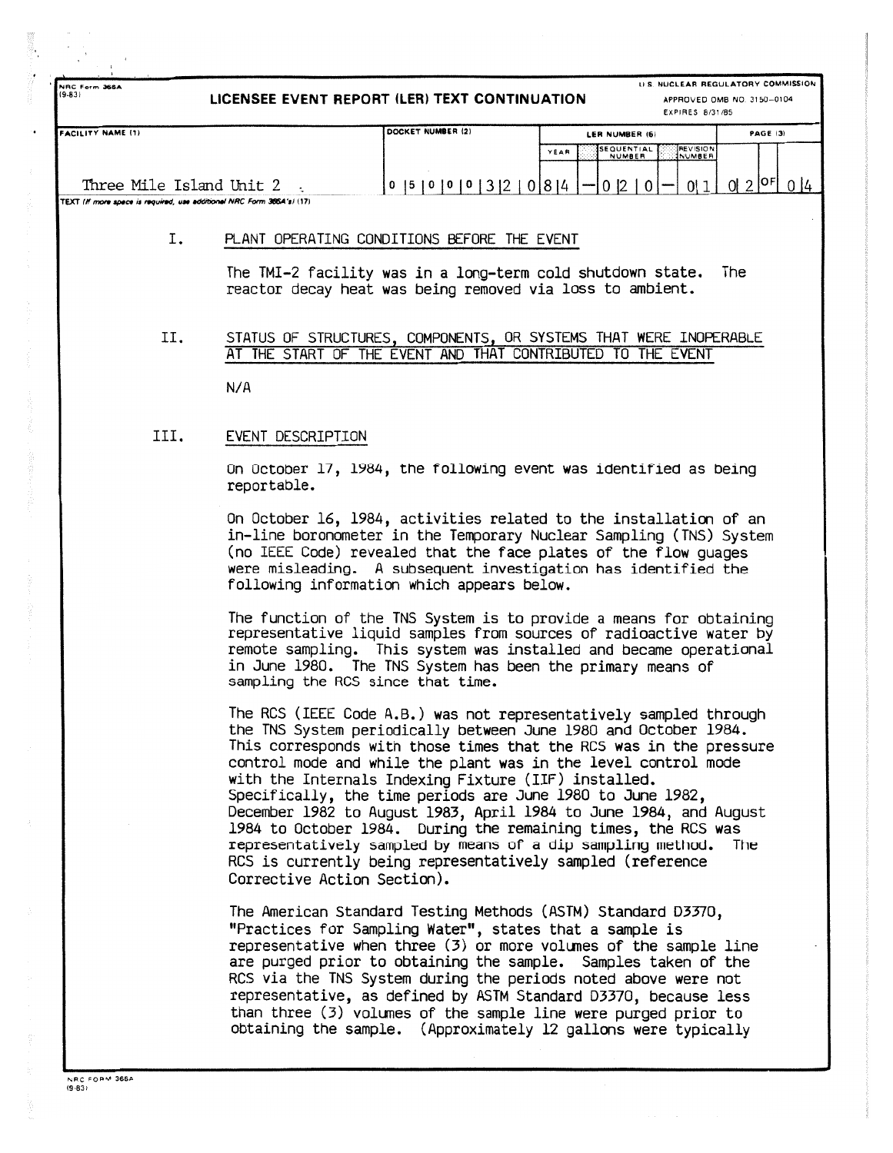**19-83) LICENSEE EVENT REPORT (LERI TEXT CONTINUATION**

**LI S . NUCLEAR REGULATORY COMMISSIO N APPROVED OMB NO 3150-010 <sup>4</sup>**

|                                                                       | <b>EXPIRES 8/31/85</b>        |                                                                    |            |  |  |  |
|-----------------------------------------------------------------------|-------------------------------|--------------------------------------------------------------------|------------|--|--|--|
| <b>FACILITY NAME (1)</b>                                              | DOCKET NUMBER (2)             | LER NUMBER (6)                                                     | PAGE (3)   |  |  |  |
|                                                                       |                               | <b>REVISION</b><br>ISEQUENTIAL<br>YEAR<br><b>INUMBER</b><br>NUMBER |            |  |  |  |
| Three Mile Island Unit 2                                              | 0 15 10<br>0<br>$\mathbf{10}$ | 01814                                                              | $012$ $0F$ |  |  |  |
| TEXT (If more space is required, use additional NRC Form 366A's) (17) |                               |                                                                    |            |  |  |  |

## I. PLANT OPERATING CONDITIONS BEFORE THE EVENT

The TMI-2 facility was in a long-term cold shutdown state. The reactor decay heat was being removed via loss to ambient .

II. STATUS OF STRUCTURES, COMPONENTS, OR SYSTEMS THAT WERE INOPERABLE AT THE START OF THE EVENT AND THAT CONTRIBUTED TO THE EVENT

**N/ A**

**NRC Form 36S A**

## III. EVENT DESCRIPTION

On October 17, 1984, the following event was identified as being reportable .

On October 16, 1984, activities related to the installation of an in-line boronometer in the Temporary Nuclear Sampling (TNS) System (no IEEE Code) revealed that the face plates of the flow guages were misleading. A subsequent investigation has identified the following information which appears below.

The function of the TNS System is to provide a means for obtaining representative liquid samples from sources of radioactive water by remote sampling. This system was installed and became operational in June 1980. The TNS System has been the primary means of sampling the RCS since that time.

The RCS (IEEE Code A.B.) was not representatively sampled through the TNS System periodically between June 1980 and October 1984 . This corresponds with those times that the RCS was in the pressure control mode and while the plant was in the level control mode with the Internals Indexing Fixture (IIF) installed. Specifically, the time periods are June 1980 to June 1982 , December 1982 to August 1983, April 1984 to June 1984, and August 1984 to October 1984. During the remaining times, the RCS was representatively sampled by means of a dip sampling method. The RCS is currently being representatively sampled (reference Corrective Action Section) .

The American Standard Testing Methods (ASTM) Standard D3370 , "Practices for Sampling Water", states that a sample is representative when three  $(3)$  or more volumes of the sample line are purged prior to obtaining the sample. Samples taken of the RCS via the TNS System during the periods noted above were not representative, as defined by ASTM Standard D3370, because less than three  $(3)$  volumes of the sample line were purged prior to obtaining the sample. (Approximately 12 gallons were typically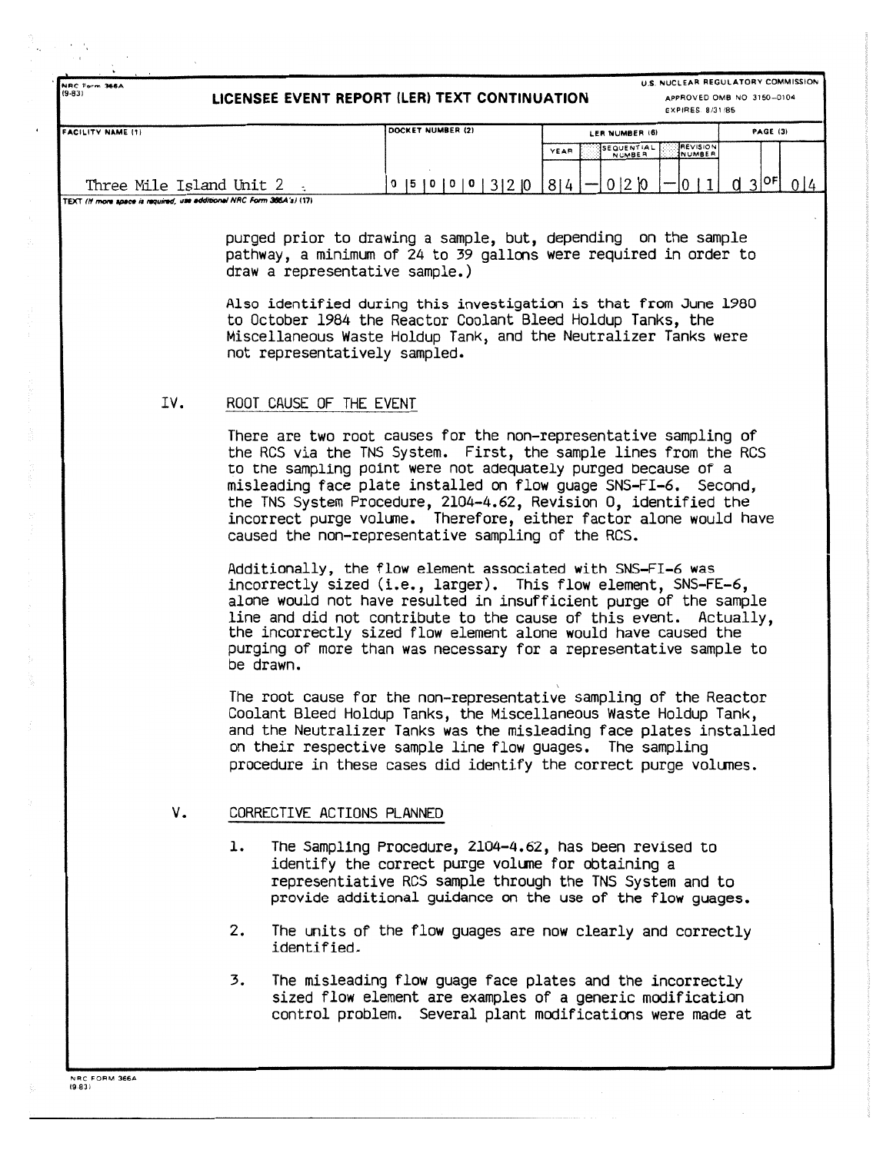**NRC Form 366A**<br>9-831 **(9-83) LICENSEE EVENT REPORT (LER) TEXT CONTINUATION APPROVED OMB NO 3150-0104**

**U .S . NUCLEAR REGULATORY COMMISSION**

|                                                                        |                                            | EXPIRES 8/31/85                                                    |                 |  |  |  |  |
|------------------------------------------------------------------------|--------------------------------------------|--------------------------------------------------------------------|-----------------|--|--|--|--|
| <b>FACILITY NAME (1)</b>                                               | DOCKET NUMBER (2)                          | LER NUMBER (6)                                                     | <b>PAGE (3)</b> |  |  |  |  |
|                                                                        |                                            | <b>JREVISION</b><br>SEQUENTIAL<br>YEAR<br><b>INUMBER</b><br>NUMBER |                 |  |  |  |  |
|                                                                        |                                            |                                                                    |                 |  |  |  |  |
| Three Mile Island Unit 2                                               | $\overline{10}$<br>1510100<br>$\mathbf{o}$ | R14<br>0 2 0                                                       | 2 OF<br>$\sim$  |  |  |  |  |
| TEXT (If more space is required, use additional NRC Form 366.4's) (17) |                                            |                                                                    |                 |  |  |  |  |

purged prior to drawing a sample, but, depending on the sample pathway, a minimum of 24 to 39 gallons were required in order to draw a representative sample.)

Also identified during this investigation is that from June 1980 to October 1984 the Reactor Coolant Bleed Holdup Tanks, the Miscellaneous Waste Holdup Tank, and the Neutralizer Tanks were not representatively sampled.

## IV. ROOT CAUSE OF THE EVENT

There are two root causes for the non-representative sampling of the RCS via the TNS System. First, the sample lines from the RCS to the sampling point were not adequately purged because of a misleading face plate installed on flow guage SNS-FI-6. Second, the TNS System Procedure, 2104-4.62, Revision 0, identified the incorrect purge volume. Therefore, either factor alone would have caused the non-representative sampling of the RCS .

Additionally, the flow element associated with SNS-FI-6 was incorrectly sized (i.e., larger). This flow element, SNS-FE-6, alone would not have resulted in insufficient purge of the sample line and did not contribute to the cause of this event. Actually, the incorrectly sized flow element alone would have caused the purging of more than was necessary for a representative sample to be drawn.

The root cause for the non-representative sampling of the Reactor Coolant Bleed Holdup Tanks, the Miscellaneous Waste Holdup Tank , and the Neutralizer Tanks was the misleading face plates installed on their respective sample line flow guages. The sampling procedure in these cases did identify the correct purge volumes .

# V. CORRECTIVE ACTIONS PLANNED

- 1. The Sampling Procedure, 2104-4.62, has been revised to identify the correct purge volume for obtaining a representiative RCS sample through the TNS System and to provide additional guidance on the use of the flow guages .
- 2. The units of the flow guages are now clearly and correctly identified .
- 3. The misleading flow guage face plates and the incorrectly sized flow element are examples of a generic modification control problem. Several plant modifications were made at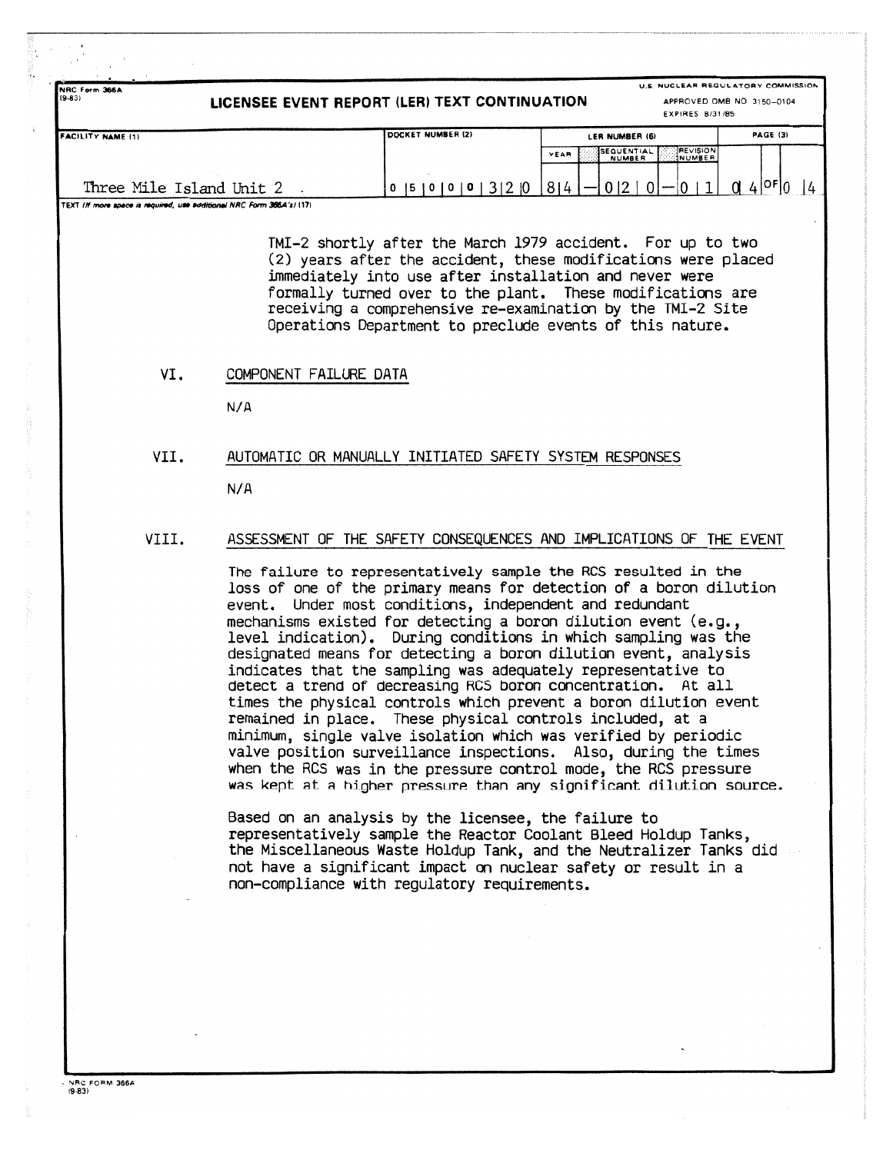| NRC Form 366A<br>$(9 - 83)$<br>LICENSEE EVENT REPORT (LER) TEXT CONTINUATION |                   | U.S. NUCLEAR REGULATORY COMMISSION<br>APPROVED OMB NO 3150-0104<br><b>EXPIRES 8/31/85</b> |          |  |  |
|------------------------------------------------------------------------------|-------------------|-------------------------------------------------------------------------------------------|----------|--|--|
| <b>IFACILITY NAME (1)</b>                                                    | DOCKET NUMBER (2) | LER NUMBER (6)                                                                            | PAGE (3) |  |  |
|                                                                              |                   | <b>REVISION</b><br>SEQUENTIAL<br>YEAR<br><b>NUMBER</b><br>INUMBER                         |          |  |  |
| Three Mile Island Unit 2                                                     | 131210<br>0 5 10  | $-0.12$<br>814                                                                            | 4 OF 0   |  |  |
| TEXT (If more space is required, use additional NRC Form 366A's) (17)        |                   |                                                                                           |          |  |  |

TMI-2 shortly after the March 1979 accident. For up to two (2) years after the accident, these modifications were placed immediately into use after installation and never were formally turned over to the plant. These modifications are receiving a comprehensive re-examination by the TMI-2 Site Operations Department to preclude events of this nature .

### VI. COMPONENT FAILURE DATA

N/A

### VII. AUTOMATIC OR MANUALLY INITIATED SAFETY SYSTEM RESPONSES

 $N/A$ 

## VIII. ASSESSMENT OF THE SAFETY CONSEQUENCES AND IMPLICATIONS OF THE EVENT

The failure to representatively sample the RCS resulted in the loss of one of the primary means for detection of a boron dilution event. Under most conditions, independent and redundant mechanisms existed for detecting a boron dilution event (e.g., level indication). During conditions in which sampling was the designated means for detecting a boron dilution event, analysis indicates that the sampling was adequately representative to detect a trend of decreasing RCS boron concentration. At all times the physical controls which prevent a boron dilution event remained in place. These physical controls included, at a minimum, single valve isolation which was verified by periodic valve position surveillance inspections. Also, during the times when the RCS was in the pressure control mode, the RCS pressure was kept at a higher pressure than any significant dilution source .

Based on an analysis by the licensee, the failure to representatively sample the Reactor Coolant Bleed Holdup Tanks , the Miscellaneous Waste Holdup Tank, and the Neutralizer Tanks did not have a significant impact on nuclear safety or result in a non-compliance with regulatory requirements .